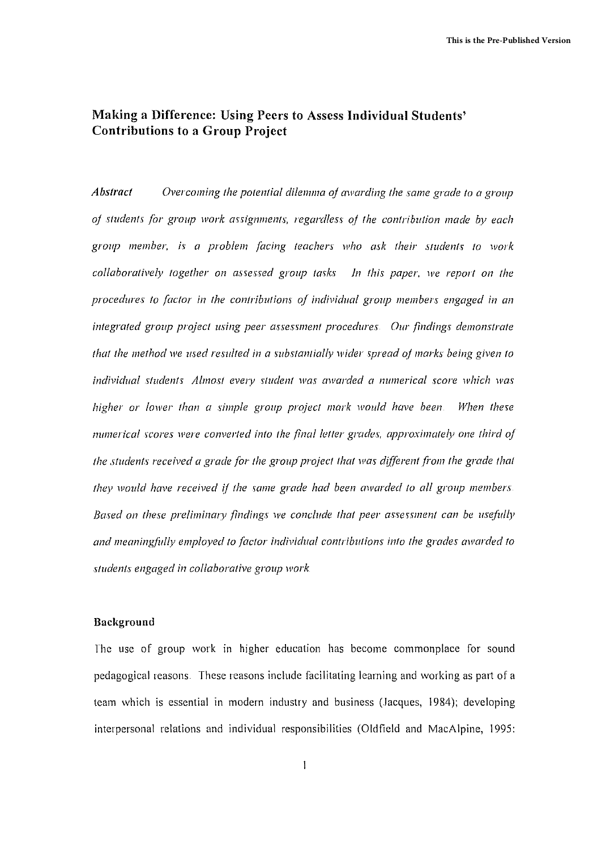# **Making a Difference: Using Peel's to Assess Individual Students' Contributions to a Group Project**

*Abstract Overcoming the potential dilemma of awarding the same grade to a group (jf students for group work al'signments, regardless of the contribution made by each group member,* i~ *a problem (acing teachers who ask their students ta work collaboratively together on aSlessed group tmks In this paper, we report on the procedures to (actor in the contributions (j( individual group members engaged in an integrated group project using peer assessment procedures Our findings demonstrate that the method we used resulted in a substantially wider Ipread of marks being given to individual Itudents Almost every \"Iudent was awarded a numerical score which was higher or lower than a simple group project mark would have been When the5e numerical scores were converted into the finalleller grades, approximatel), One third oj the students received a grade for the group project that was different /i"OIn the grade that they would have received if the same grade had been awarded to all group members Based* on these preliminary findings we conclude that peer assessment can be usefully *and meaningfidly employed to factor individual c011lributions into the grades awarded to students engaged in collaborative group work*

## **Background**

The use of group work in higher education has become commonplace for sound pedagogical reasons. These reasons include facilitating learning and working as part of a team which is essential in modern industry and business (Jacques, 1984); developing interpersonal relations and individual responsibilities (Oldfield and MacAlpine, 1995: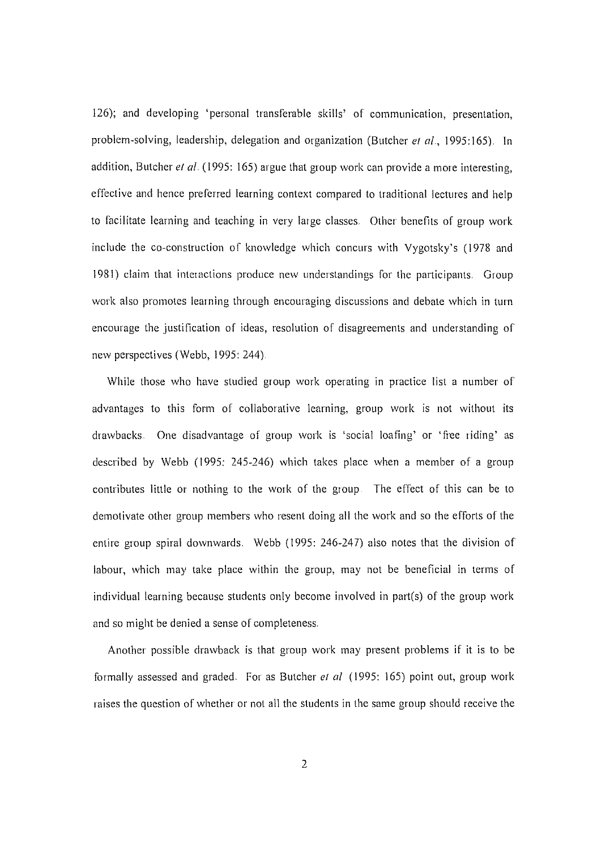126); and developing 'personal transferable skills' of communication, presentation, problem-solving, leadership, delegation and organization (Butcher et al., 1995:165). In addition, Butcher et al. (1995: 165) argue that group work can provide a more interesting, effective and hence preferred learning context compared to traditional lectures and help to facilitate learning and teaching in very large classes, Other benefits of group work include the co-construction of knowledge which concurs with Vygotsky's (1978 and 1981) claim that interactions produce new understandings for the participants, Group work also promotes learning through encouraging discussions and debate which in turn encourage the justification of ideas, resolution of disagreements and understanding of new perspectives (Webb, 1995: 244),

While those who have studied group work operating in practice list a number of advantages to this form of collaborative learning, group work is not without its drawbacks, One disadvantage of group work is 'social loafing' or 'free riding' as described by Webb (1995: 245-246) which takes place when a member of a group contributes little or nothing to the work of the group The effect of this can be to demotivate other group members who resent doing all the work and so the efforts of the entire group spiral downwards. Webb (1995: 246-247) also notes that the division of labour, which may take place within the group, may not be beneficial in terms of individual learning because students only become involved in part(s) of the group work and so might be denied a sense of completeness,

Another possible drawback is that group work may present problems if it is to be formally assessed and graded. For as Butcher *et al* (1995: 165) point out, group work raises the question of whether or not all the students in the same group should receive the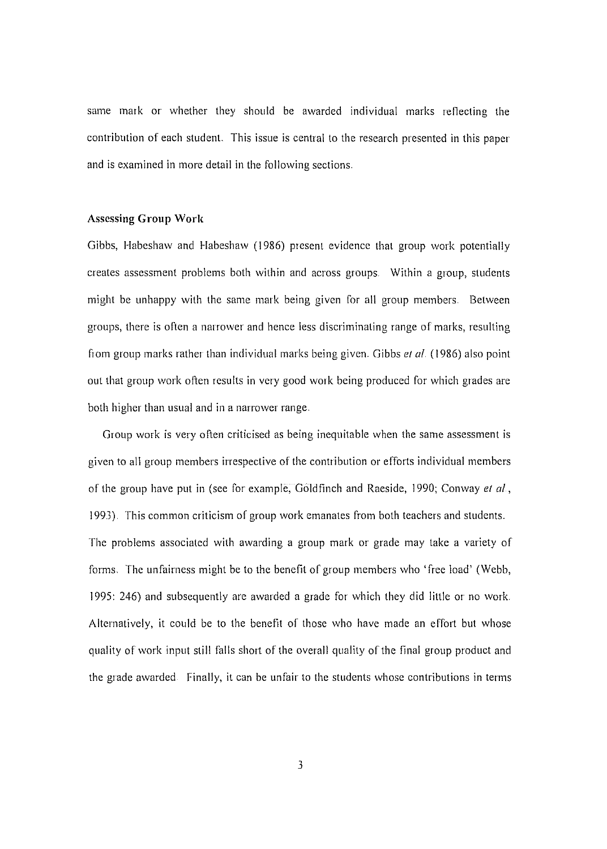same mark or whether they should be awarded individual marks reflecting the contribution of each student. This issue is central to the research presented in this paper and is examined in more detail in the following sections.

#### **Assessing Group Work**

Gibbs, Habeshaw and Habeshaw (1986) present evidence that group work potentially creates assessment problems both within and across groups. Within a group, students might be unhappy with thc same mark being given for all group members. Between groups, there is often a narrower and hence less discriminating range of marks, resulting from group marks rather than individual marks being given. Gibbs el *al* (1986) also point out that group work often results in very good work being produced for which grades are both higher than usual and in a narrower range.

Group work is very often criticised as being inequitable when the same assessment is given to all group members irrespective of the contribution or efforts individual members of the group have put in (see for example, Goldfinch and Raeside, 1990; Conway et al., 1993). This common criticism of group work emanates from both teachers and students. The problems associated with awarding a group mark or grade may take a variety of forms. The unfairness might be to the benefit of group members who' free load' (Webb, 1995: 246) and subsequently are awarded a grade for which they did little or no work Alternatively, it could be to the benefit of those who have made an effort but whose quality of work input still falls short of the overall quality of the final group product and the grade awarded Finally, it can be unfair to the students whose contributions in terms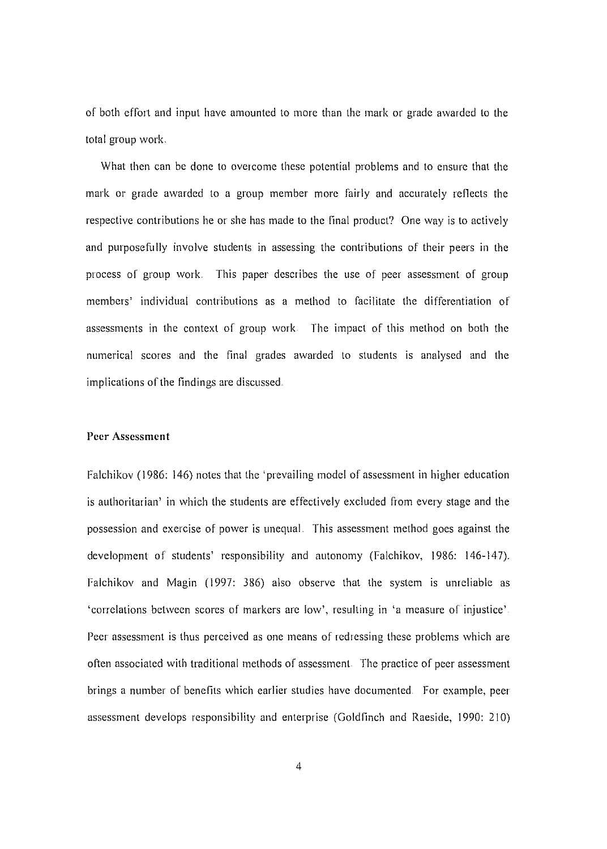of both effort and input have amounted to more than the mark or grade awarded to the total group work.

What then can be done to overcome these potential problems and to ensure that the mark or grade awarded to a group member more fairly and accurately reflects the respective contributions he or she has made to the final product? One way is to actively and purposefully involve students in assessing the contributions of their peers in the process of group work. This paper describes the use of peer assessment of group members' individual contributions as a method to facilitate the differentiation of assessments in the context of group work The impact of this method on both the numerical scores and the final grades awarded to students is analysed and the implications of the findings are discussed.

#### **Peer Assessment**

Falchikov (1986: 146) notes that the 'prevailing model of assessment in higher education is authoritarian' in which the students are effectively excluded from every stage and the possession and exercise of power is unequal. This assessment method goes against the development of students' responsibility and autonomy (Falchikov, 1986: 146-I47). Falchikov and Magin (1997: 386) also observe that the system is unreliable as 'correlations betwecn scores of markers are low', resulting in 'a measure of injustice' Peer assessment is thus perceived as one means of redressing these problems which are often associated with traditional methods of assessment The practice of peer assessment brings a number of benefits which earlier studies have documented. For example, peer assessment develops responsibility and enterprise (Goldfinch and Raeside, 1990: 210)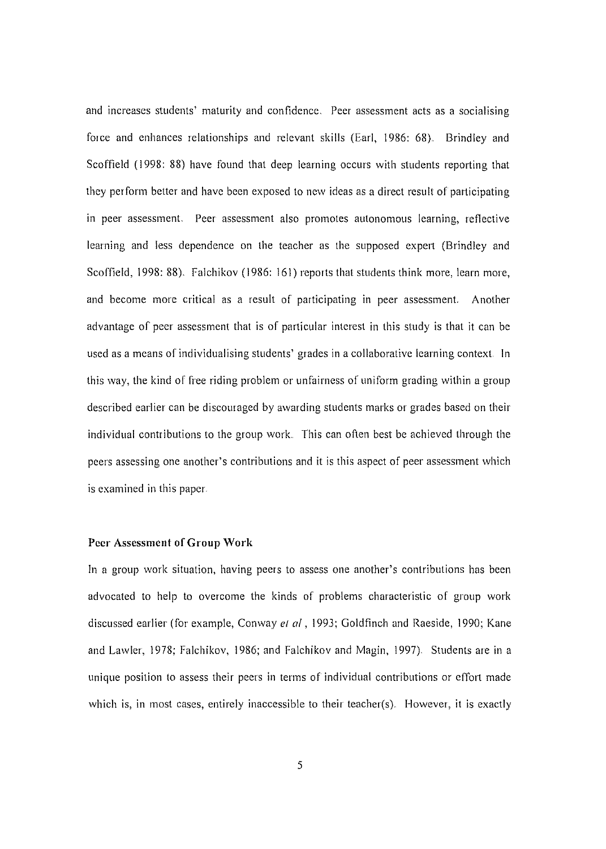and increases students' maturity and confidence, Peer assessment acts as a socialising force and enhances relationships and relevant skills (Earl, 1986: 68). Brindley and Scoffield (1998: 88) have found that deep learning occurs with students reporting that they perform better and have been exposed to new ideas as a direct result of participating in peer assessment. Peer assessment also promotes autonomous learning, reflective learning and less dependence on the teacher as the supposed expert (Brindley and Scoffield, 1998: 88). Falchikov (1986: 161) reports that students think more, learn more, and become more critical as a result of participating in peer assessment. Another advantage of peer assessment that is of particular interest in this study is that it can be used as a means of individualising students' grades in a collaborative learning context. In this way, the kind of free riding problem or unfairness of uniform grading within a group described earlier can be discouraged by awarding students marks or grades based on their individual contributions to the group work. This can often best be achieved through the peers assessing one another's contributions and it is this aspect of peer assessment which is examined in this paper.

#### **Peer** Assessment of Group **Work**

In a group work situation, having peers to assess one another's contributions has been advocated to help to overcome the kinds of problems characteristic of group work discussed earlier (for example, Conway el *al* , 1993; Goldfinch and Raeside, 1990; Kane and Lawler, 1978; Falchikov, 1986; and Falchikov and Magin, 1997), Students are in a unique position to assess their peers in terms of individual contributions or effort made which is, in most cases, entirely inaccessible to their teacher(s). However, it is exactly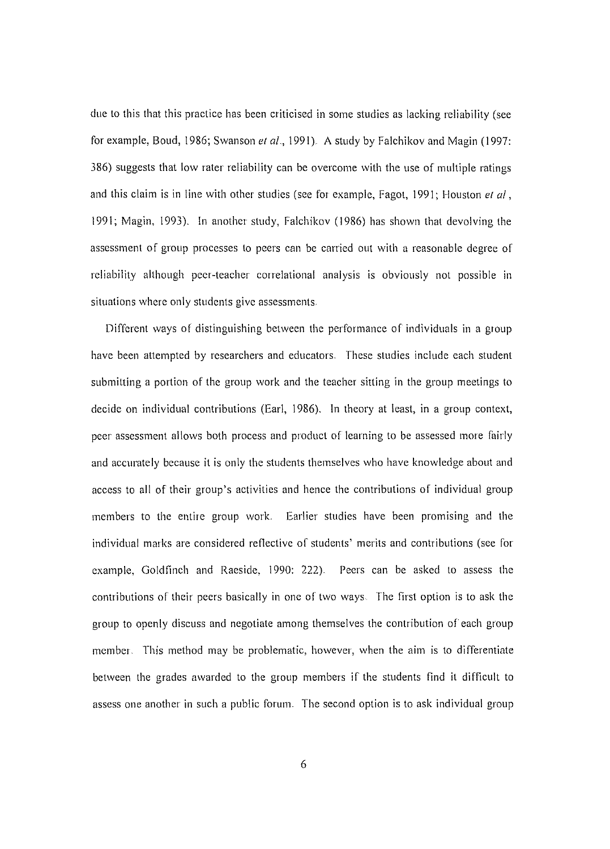due to this that this practice has been criticised in some studies as lacking reliability (see for example, Boud, 1986; Swanson *et al.*, 1991). A study by Falchikov and Magin (1997: 386) suggests that low rater reliability can be overcome with the use of multiple ratings and this claim is in line with other studies (see for example, Fagot, 1991; Houston *el ai,* 1991; Magin, 1993). In another study, Falchikov (1986) has shown that devolving the assessment of group processes to peers can be carried out with a reasonable degree of reliability although peer-teacher correlational analysis is obviously not possible in situations where only students give assessments.

Different ways of distinguishing between the performance of individuals in a group have been attempted by researchers and educators. These studies include each student submitting a portion of the group work and the teacher sitting in the group meetings to decide on individual contributions (Earl, 1986). In theory at least, in a group context, peer assessment allows both process and product of learning to be assessed more fairly and accurately because it is only the students themselves who have knowledge about and access to all of their group's activities and hence the contributions of individual group members to the entire group work. Earlier studies have been promising and the individual marks are considered reflective of students' merits and contributions (see for example, Goldfinch and Raeside,  $1990: 222$ ). Peers can be asked to assess the contributions of their peers basically in one of two ways. The first option is to ask the group to openly discuss and negotiate among themselves the contribution of each group mcmber. This method may be problematic, however, when the aim is to differentiate between the grades awarded to the group members if the students find it difficult to assess one another in such a public forum. The second option is to ask individual group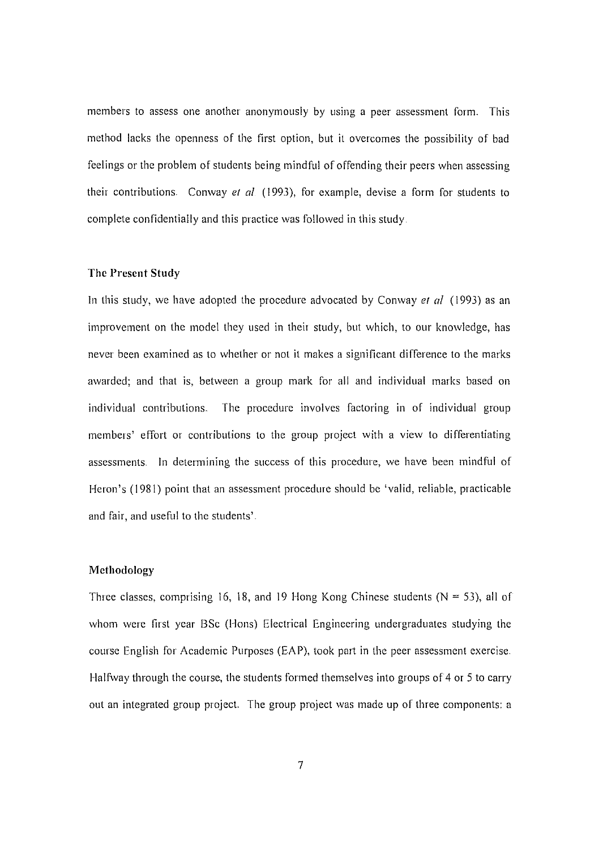members to assess one another anonymously by using a peer assessment form. This method lacks the openness of the first option, but it overcomes the possibility of bad feelings or the problem of students being mindful of offending their peers when assessing their contributions. Conway et al.  $(1993)$ , for example, devise a form for students to complete confidentially and this practice was followed in this study.

#### The Present Study

In this study, we have adopted the procedure advocated by Conway *et al* (1993) as an improvement on the model they used in their study, but which, to our knowledge, has never been examined as to whether or not it makes a significant difference to the marks awarded; and that is, between a group mark for all and individual marks based on individual contributions. The procedure involves factoring in of individual group members' effort or contributions to the group project with a view to differentiating assessments. In determining the success of this procedure, we have been mindful of Heron's (1981) point that an assessment procedure should be 'valid, reliable, practicable and fair, and useful to the students'.

### Methodology

Three classes, comprising 16, 18, and 19 Hong Kong Chinese students ( $N = 53$ ), all of whom were first year BSc (Hons) Electrical Engineering undergraduates studying the course English for Academic Purposes (EAP), took part in the peer assessment exercise. Halfway through the course, the students formed themselves into groups of 4 or 5 to carry out an integrated group project. The group project was made up of three components: a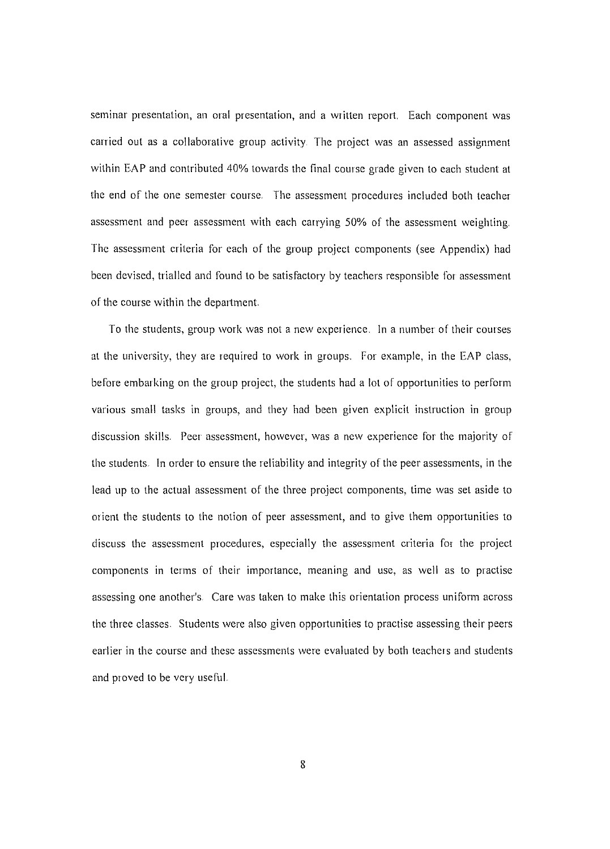seminar presentation, an oral presentation, and a written report. Each component was carried out as a collaborative group activity. The project was an assessed assignment within EAP and contributed 40% towards the final course grade given to each student at the end of the one semester course The assessment procedures included both teacher assessment and peer assessment with each carrying 50% of the assessment weighting. The assessment criteria for each of the group project components (see Appendix) had been devised, trialled and found to be satisfactory by teachers responsible for assessment of the course within the department.

To the students, group work was not a new experience. In a number of their courses at the university, they are required to work in groups.. For example, in the EAP class, before embarking on the group project, the students had a lot of opportunities to perform various small tasks in groups, and they had been given explicit instruction in group discussion skills. Peer assessment, however, was a new experience for the majority of the students. In order to ensure the reliability and integrity of the peer assessments, in the lead up to the actual assessment of the three project components, time was set aside to orient the students to the notion of peer assessment, and to give them opportunities to discuss the assessment procedures, especially the assessment criteria for the project components in terms of their importance, meaning and use, as well as to practise assessing one another's. Care was taken to make this orientation process uniform across the three classes. Students were also given opportunities to practise assessing their peers earlier in the course and these assessments were evaluated by both teachers and students and proved to be very useful.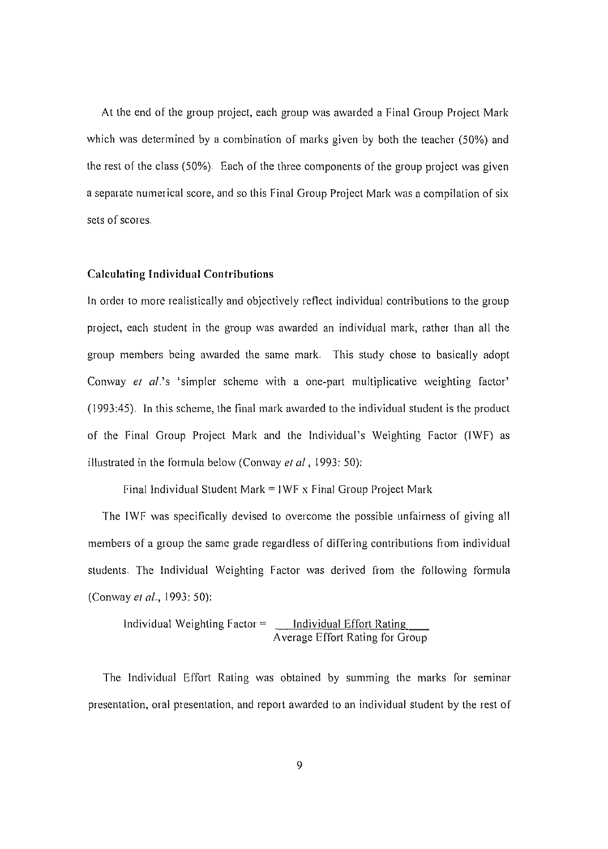At the end of the group project, each group was awarded a Final Group Project Mark which was determined by a combination of marks given by both the teacher (50%) and the rest of the class (50%) Each of the three components of the group project was given a separate numerical score, and so this Final Group Project Mark was a compilation of six sets of scores.

#### **Calculating Individual Contributions**

In order to more realistically and objectively reflect individual contributions to the group project, each student in the group was awarded an individual mark, rather than all the group members being awarded the same mark. This study chose to basically adopt Conway et  $al$ 's 'simpler scheme with a one-part multiplicative weighting factor' (1993:45). In this scheme, the final mark awarded to the individual student is the product of the Final Group Project Mark and the Individual's Weighting Factor (lWF) as illustrated in the formula below (Conway et al., 1993: 50):

Final Individual Student Mark =  $IWF \times$  Final Group Project Mark

The IWF was specifically devised to overcome the possible unfairness of giving all members of a group the same grade regardless of differing contributions from individual students. The Individual Weighting Factor was derived from the following formula (Conway et al., 1993: 50):

Individual Weighting Factor = Individual Effort Rating Average Effort Rating for Group

The Individual Effort Rating was obtained by summing the marks for seminar presentation, oral presentation, and report awarded to an individual student by the rest of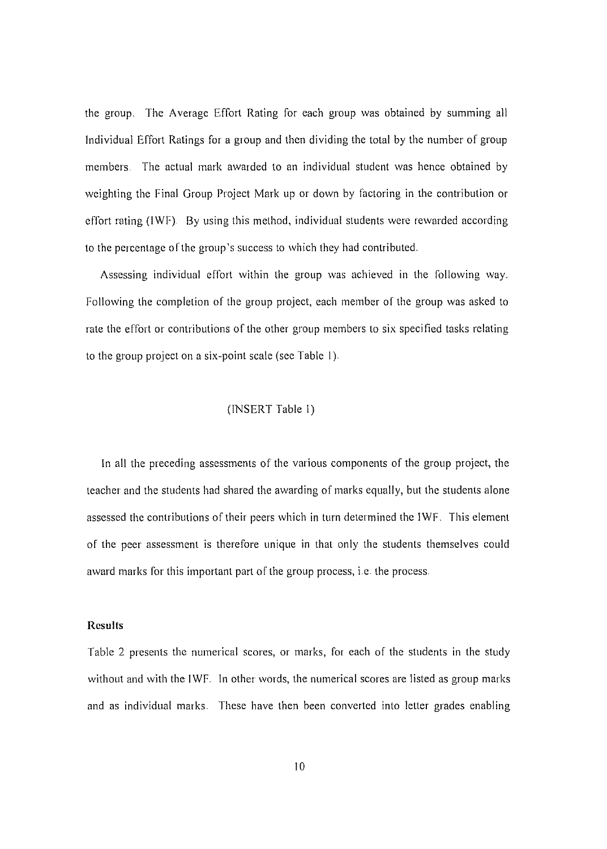the group, The Average Effort Rating for each group was obtained by summing all Individual Effort Ratings for a group and then dividing the total by the number of group members. The actual mark awarded to an individual student was hence obtained by weighting the Final Group Project Mark up or down by factoring in the contribution or effort rating (IWF). By using this method, individual students were rewarded according to the percentage of the group's success to which they had contributed.

Assessing individual effort within the group was achieved in the following way. Following the completion of the group project, each member of the group was asked to rate the effort or contributions of the other group members to six specifled tasks relating to the group project on a six-point scale (see Table I)

### (INSERT Table I)

In all the preceding assessments of the various components of the group project, the teacher and the students had shared the awarding of marks equally, but the students alone assessed the contributions of their peers which in turn determined the IWF, This element of the peer assessment is therefore unique in that only the students themselves could award marks for this important part of the group process, i.e. the process.

### **Results**

Table 2 presents the numerical scores, or marks, for each of the students in the study without and with the IWF, In other words, the numerical scores are listed as group marks and as individual marks, These have then been converted into letter grades enabling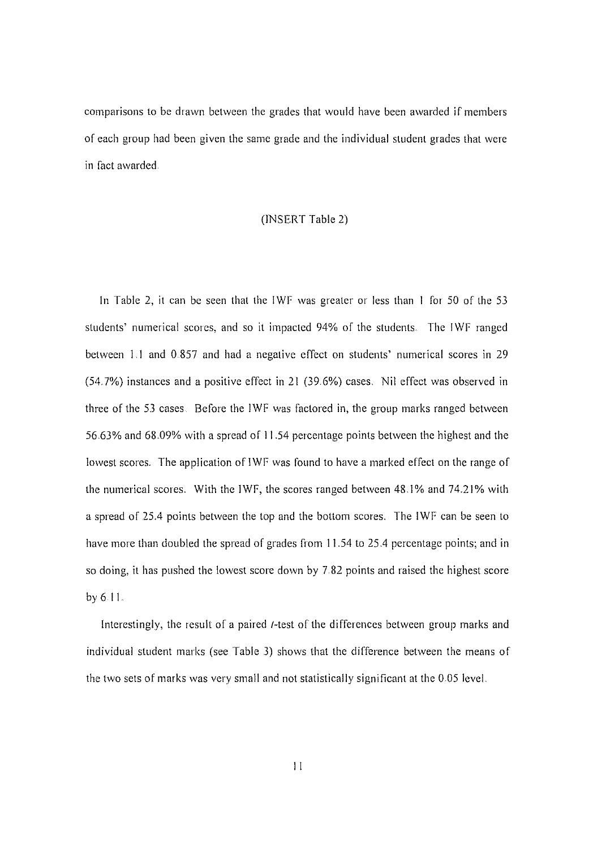comparisons to be drawn between the grades that would have been awarded if members of each group had been given the same grade and the individual student grades that were in fact awarded.

#### (INSERT Table 2)

In Table 2, it can be seen that the IWF was greater or less than I for 50 of the 53 students' numerical scores, and so it impacted 94% of the students. The IWF ranged between 1.1 and 0 857 and had a negative effect on students' numerical scores in 29 (54.7%) instances and a positive effect in 21 (39.6%) cases, Nil effect was observed in three of the 53 cases. Before the IWF was factored in, the group marks ranged between 56,63% and 68.09% with a spread of 11.54 percentage points between the highest and the lowest scores. The application of IWF was found to have a marked effect on the range of the numerical scores. With the IWF, the scores ranged between 48.1% and 74.21% with a spread of 25,4 points between the top and the bottom scores. The IWF can be seen to have more than doubled the spread of grades from 11.54 to 25.4 percentage points; and in so doing, it has pushed the lowest score down by 7.82 points and raised the highest score by 611.

Interestingly, the result of a paired *t*-test of the differences between group marks and individual student marks (see Table 3) shows that the difference between the means of the two sets of marks was very small and not statistically significant at the 0.05 level.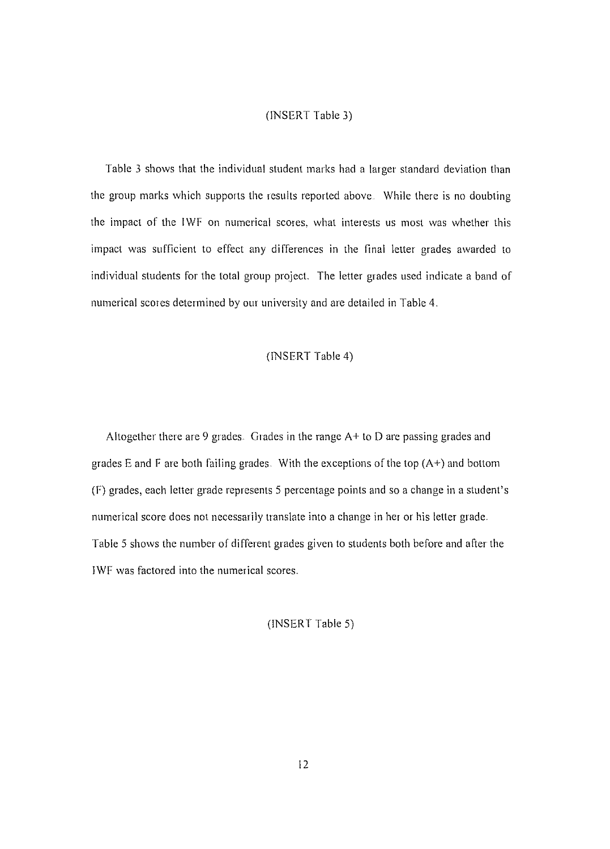### (INSERT Table 3)

Table 3 shows that the individual student marks had a larger standard deviation than the group marks which supports the results reported above. While there is no doubting the impact of the IWF on numerical scores, what interests us most was whether this impact was sufficient to effect any differences in the final letter grades awarded to individual students for the total group project. The letter grades used indicate a band of numerical scores determined by our university and are detailed in Table 4.

## (INSERT Table 4)

Altogether there are 9 grades. Grades in the range  $A+$  to  $D$  are passing grades and grades E and F are both failing grades. With the exceptions of the top  $(A+)$  and bottom (F) grades, each letter grade represents 5 percentage points and so a change in a student's numerical score does not necessarily translate into a change in her or his letter grade. Table 5 shows the number of different grades given to students both before and after the IWF was factored into the numerical scores.

(INSERT Table 5)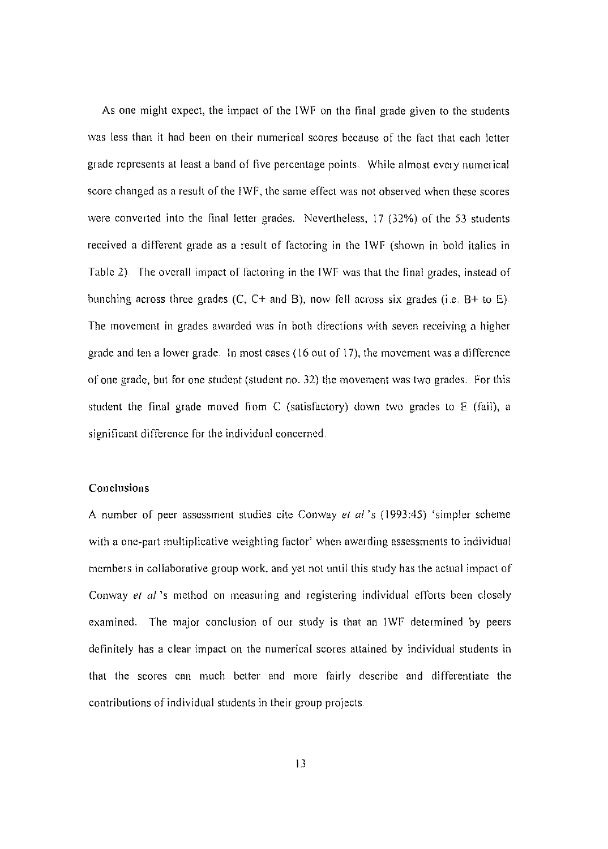As one might expect, the impact of the IWF on the final grade given to the students was less than it had been on their numerical scores because of the fact that each letter grade represents at least a band of five percentage points. While almost every numerical score changed as a result of the IWf, the same effect was not observed when these scores were converted into the final letter grades. Nevertheless, 17 (32%) of the 53 students received a different grade as a result of factoring in the IWF (shown in bold italics in Table 2). The overall impact of factoring in the IWF was that the final grades, instead of bunching across three grades  $(C, C+$  and B), now fell across six grades (i.e. B+ to E). The movement in grades awarded was in both directions with seven receiving a higher grade and ten a lower grade. In most cases (16 out of 17), the movement was a difference of one grade, but for one student (student no. 32) the movement was two grades. for this student the final grade moved from C (satisfactory) down two grades to E (fail), a significant difference for the individual concerned.

### **Conclusions**

A number of peer assessment studies cite Conway el *al's* (1993:45) 'simpler scheme with a one-part multiplicative weighting factor' when awarding assessments to individual members in collaborative group work, and yet not until this study has the actual impact of Conway el *al's* method on measuring and registering individual efforts been closely examined. The major conclusion of our study is that an IWF determined by peers definitely has a clear impact on the numerical scores attained by individual students in that the scores can much better and more fairly describe and differentiate the contributions of individual students in their group projects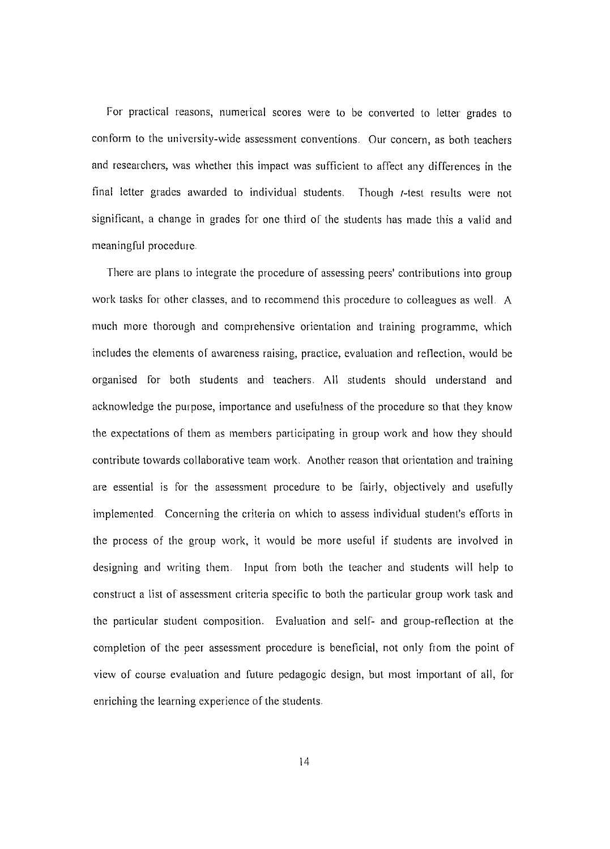For practical reasons, numerical scores were to be converted to letter grades to conform to the university-wide assessment conventions. Our concern, as both teachers and researchers, was whether this impact was sufficient to affect any differences in the final letter grades awarded to individual students, Though I-test results were not significant, a change in grades for one third of the students has made this a valid and meaningful procedure,

There are plans to integrate the procedurc of asscssing peers' contributions into group work tasks for other classes, and to recommend this procedure to colleagues as well. A much more thorough and comprehensive orientation and training programme, which includes the elements of awareness raising, practice, evaluation and reflection, would be organised for both students and teachers, All students should understand and acknowledge the purpose, importance and usefulness of the procedure so that they know the expectations of them as members participating in group work and how they should contribute towards collaborative team work, Another reason that orientation and training are essential is for the assessment procedure to be fairly, objectively and usefully implemented Concerning the criteria on which to assess individual student's efforts in the process of the group work, it would be more usefiil if students are involved in designing and writing them. Input from both the teacher and students will help to construct a list of assessment criteria spccific to both the particular group work task and the particular student composition, Evaluation and self~ and group-reflection at the completion of the peer assessment procedure is beneficial, not only from the point of view of course evaluation and future pedagogic design, but most important of all, for enriching the learning experience of the students.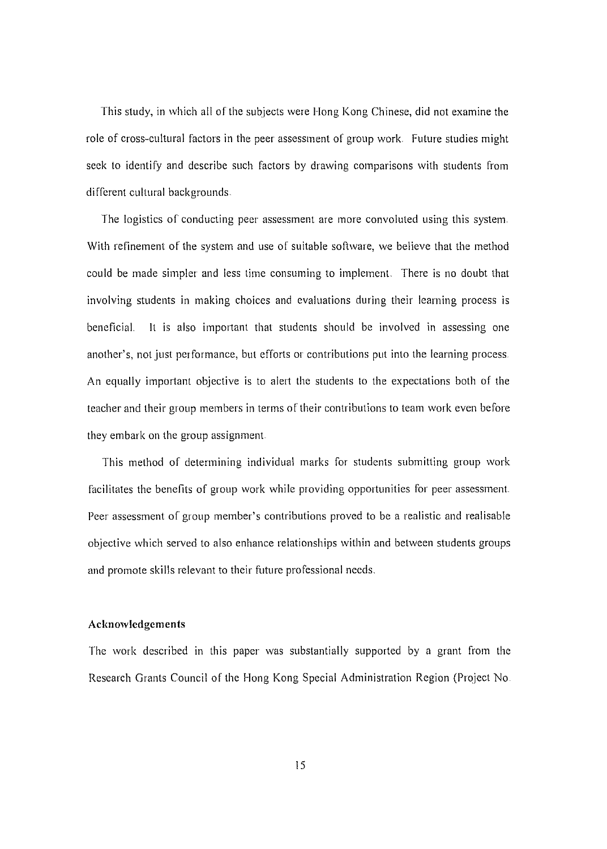This study, in which all of the subjects were Hong Kong Chinese, did not examine the role of cross-cultural factors in the peer assessment of group work. Future studies might seek to identify and describe such factors by drawing comparisons with students from different cultural backgrounds.

The logistics of conducting peer assessment are more convoluted using this system With refinement of the system and use of suitable software, we believe that the method could be made simpler and less time consuming to implement. There is no doubt that involving students in making choices and evaluations during their learning process is beneficial. It is also important that students should be involved in assessing one another's, not just per formance, but efforts or contributions put into the learning process. An equally important objective is to alert the students to the expectations both of the teacher and their group members in terms of their contributions to team work even before they embark on the group assignment.

This method of determining individual marks for students submitting group work facilitates the benefits of group work while providing opportunities for peer assessment. Peer assessment of group member's eontributions proved to be a realistic and realisable objective which served to also enhance relationships within and between students groups and promote skills relevant to their future professional needs.

### **Acknowledgements**

The work described in this paper was substantially supported by a grant from the Research Grants Council of the Hong Kong Special Administration Region (Project No.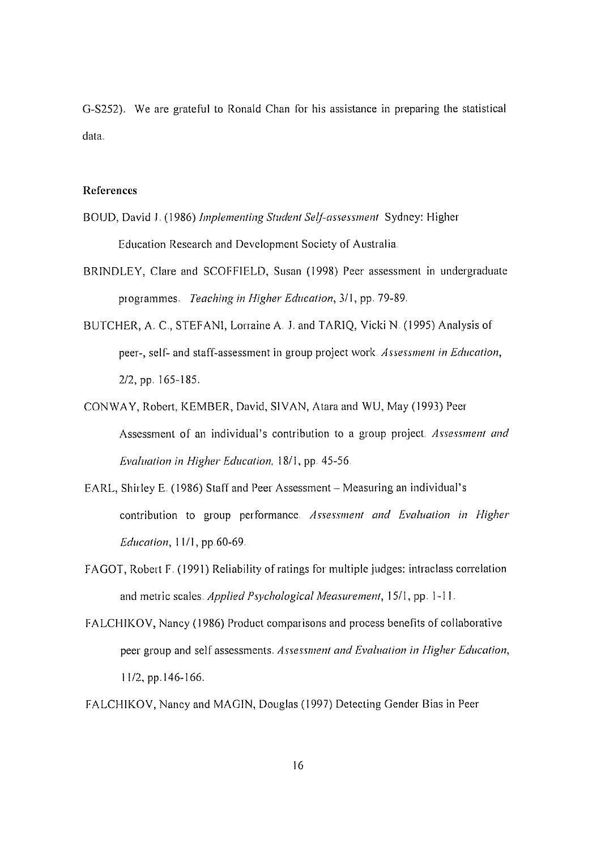G-S252). We are grateful to Ronald Chan for his assistance in preparing the statistical data.

#### **References**

- BOUD, David J, (1986) *Implementing Student Self-assessment* Sydney: Higher Education Research and Development Society of Australia
- BRINDLEY, Clare and SCOFFIELD, Susan (1998) Peer assessment in undergraduate programmes. *Teaching in Higher Education,* 311, pp. 79-89
- BUTCHER, A. C., STEFANI, Lorraine A. J. and TARIQ, Vicki N. (1995) Analysis of peer-, self~ and staff-assessment in group project work *Assessment in Education,* 2/2, pp. 165-185.
- CONWAY, Robert, KEMBER, David, SIVAN, Alara and WU, May (1993) Peer Assessment of an individual's contribution to a group project *Assessment and Evaluation in Higher Education,* 1811, pp. 45-56
- EARL, Shirley E. (1986) Staff and Peer Assessment Measuring an individual's contribution to group performance *Assessment and Evaluation in Higher Education,* 1111, pp.60-69.
- FAGOT, Robert F. (1991) Reliability of ratings for multiple judges: intraclass correlation and metric scales *Applied Psychological Measurement,* 1511, pp. I-II.
- FALCHIKOV, Nancy (1986) Product comparisons and process benefits of collaborative peer group and self assessments. *Assessment and Evaluation in Higher Education,* 11/2, pp.146-166,

FALCHIKOV, Nancy and MAGIN, Douglas (1997) Detecting Gender Bias in Peer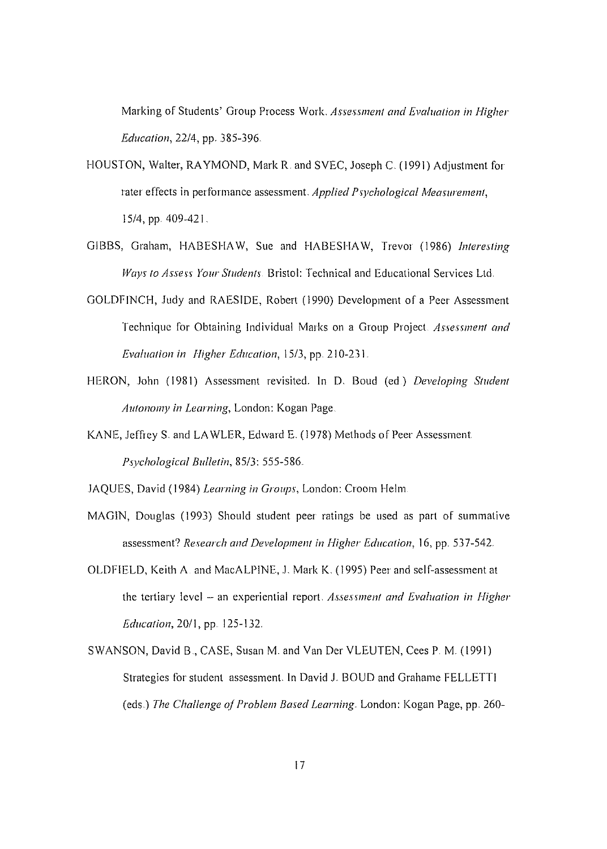Marking of Students' Group Process Work. Assessment and *Evaluation in Higher Education,* 22/4, pp, 385-396

- HOUSTON, Walter, RAYMOND, Mark R, and SVEC, Joseph C. (1991) Adjustment for later effects in performance assessment *Applied Psychological Mea5llrement,* 15/4, pp. 409-421.
- GIBBS, Graham, HABESHAW, Sue and HABESHAW, Trevor (1986) *Interesting Ways to Assess Your Students*. Bristol: Technical and Educational Services Ltd.
- GOLDFINCH, Judy and RAESIDE, Robert (1990) Development of a Peer Assessment Technique for Obtaining Individual Marks on a Group Project *Assessment and Evaluation in Higher Education,* 15/3, pp. 210-231.
- HERON, John (1981) Assessment revisited, In D, Boud (cd) *Developing Student Autonom)' in Learning,* London: Kogan Page
- KANE, Jeffrey S. and LAWLER, Edward E, (1978) Methods of Peer Assessment *Psychological Bulletin,* 85/3: 555-586.
- JAQUES, David (1984) *Learning in Groups,* London: Croom Helm
- MAGIN, Douglas (1993) Should student peer ratings be used as part of summative assessment? *Research and Developmel1/ in Higher Education,* 16, pp. 537-542.
- OLDFIELD, Keith A and MacALPINE, J. Mark K. (1995) Peer and self-assessment at the tertiary level - an experiential report *Assessment and Evaluation in Higher Education,* 20/1, pp. 125-132,
- SWANSON, David B., CASE, Susan M. and Van Der VLEUTEN, Cees P. M. (1991) Strategies for student assessment. In David J. BOUD and Grahame FELLETTI (eds.) *The Challenge of Problem Based Learning.* London: Kogan Page, pp. 260-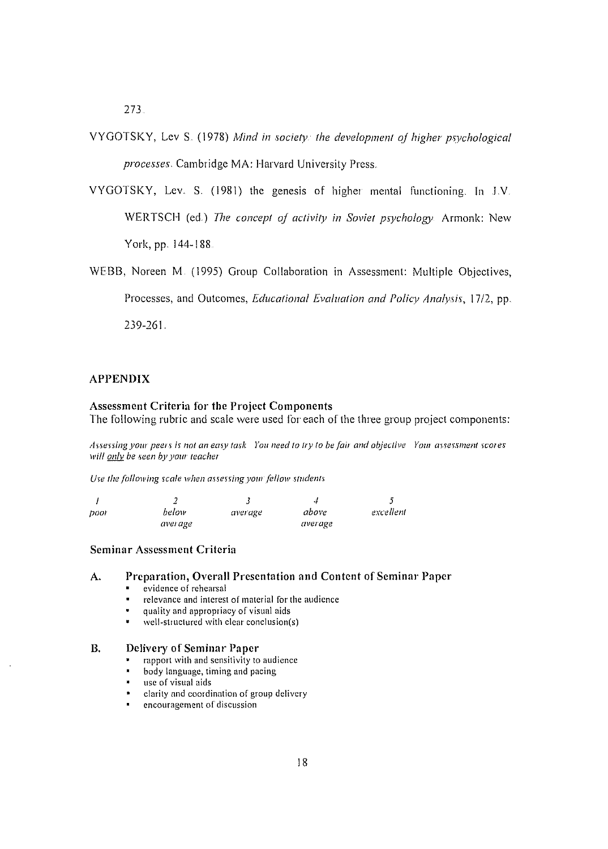273

- VYGOTSKY, Lev S. (1978) *Mind in society the development of higher ps)!chological processes,* Cambridge MA: Harvard University Press.
- VYGOTSKY, Lev. S. (1981) the genesis of higher mental functioning. In J.V. WERTSCH (ed.) *The concept of activit)! in Soviet psychology* Armonk: New York, pp. 144-188
- WEBB, Noreen M. (1995) Group Collaboration in Assessment: Multiple Objectives, Processes, and Outcomes, *Educational Evaluation and Polic)! Anal)!sis,* 17/2, pp. 239-261.

#### APPENDIX

#### Assessment Criteria for the Project Components

The following rubric and scale were used for each of the three group project components:

Assessing your peers is not an easy task You need to try to be fair and objective Your assessment scores *will only be* seen *by your teacher* 

*Use the following scale when assessing your fellow students* 

|       |         | .,      | ا د     |           |
|-------|---------|---------|---------|-----------|
| DOOF. | below   | average | above   | excellent |
|       | average |         | average |           |

#### Seminar Assessment Criteria

#### A. Preparation, Overall Presentation and Content of Seminar Paper

- **• evidence of rehearsal**
- **• relevance and interest of material for the audience**
- **quality and appropriacy of visual aids**
- $\frac{1}{1}$ **well-structured** with clear conclusion(s)

#### B. Delivery of Seminar Paper

- **• rapport with and sensitivity to audience**
- $\blacksquare$ **body language, timing and pacing**
- **• usc of visual aids**
- **• clarity and coordination of group dclivcry**
- **cncouragcmcnt of discussion**  $\mathbf{u}$  .